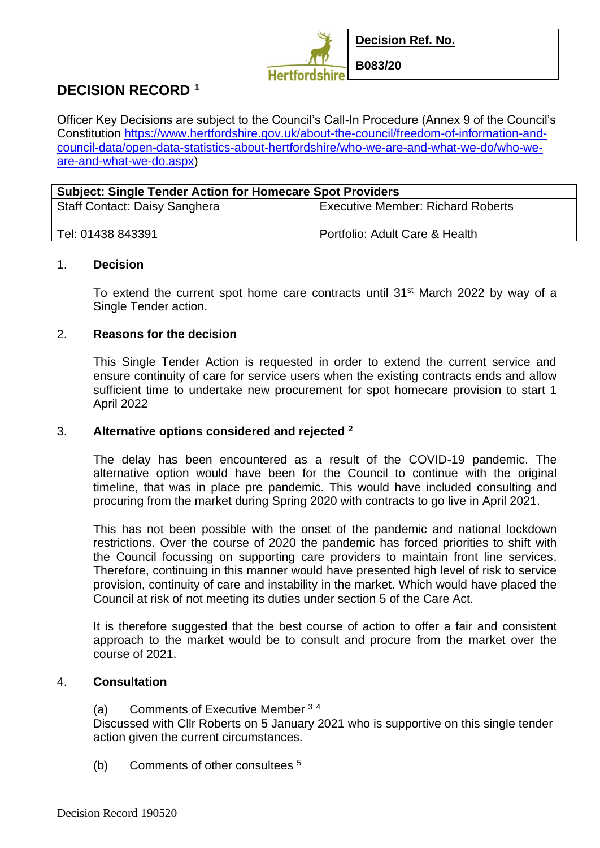

# **DECISION RECORD <sup>1</sup>**

Officer Key Decisions are subject to the Council's Call-In Procedure (Annex 9 of the Council's Constitution [https://www.hertfordshire.gov.uk/about-the-council/freedom-of-information-and](https://www.hertfordshire.gov.uk/about-the-council/freedom-of-information-and-council-data/open-data-statistics-about-hertfordshire/who-we-are-and-what-we-do/who-we-are-and-what-we-do.aspx)[council-data/open-data-statistics-about-hertfordshire/who-we-are-and-what-we-do/who-we](https://www.hertfordshire.gov.uk/about-the-council/freedom-of-information-and-council-data/open-data-statistics-about-hertfordshire/who-we-are-and-what-we-do/who-we-are-and-what-we-do.aspx)[are-and-what-we-do.aspx\)](https://www.hertfordshire.gov.uk/about-the-council/freedom-of-information-and-council-data/open-data-statistics-about-hertfordshire/who-we-are-and-what-we-do/who-we-are-and-what-we-do.aspx)

| <b>Subject: Single Tender Action for Homecare Spot Providers</b> |                                          |
|------------------------------------------------------------------|------------------------------------------|
| <b>Staff Contact: Daisy Sanghera</b>                             | <b>Executive Member: Richard Roberts</b> |
| Tel: 01438 843391                                                | Portfolio: Adult Care & Health           |

#### 1. **Decision**

To extend the current spot home care contracts until 31<sup>st</sup> March 2022 by way of a Single Tender action.

#### 2. **Reasons for the decision**

This Single Tender Action is requested in order to extend the current service and ensure continuity of care for service users when the existing contracts ends and allow sufficient time to undertake new procurement for spot homecare provision to start 1 April 2022

### 3. **Alternative options considered and rejected <sup>2</sup>**

The delay has been encountered as a result of the COVID-19 pandemic. The alternative option would have been for the Council to continue with the original timeline, that was in place pre pandemic. This would have included consulting and procuring from the market during Spring 2020 with contracts to go live in April 2021.

This has not been possible with the onset of the pandemic and national lockdown restrictions. Over the course of 2020 the pandemic has forced priorities to shift with the Council focussing on supporting care providers to maintain front line services. Therefore, continuing in this manner would have presented high level of risk to service provision, continuity of care and instability in the market. Which would have placed the Council at risk of not meeting its duties under section 5 of the Care Act.

It is therefore suggested that the best course of action to offer a fair and consistent approach to the market would be to consult and procure from the market over the course of 2021.

### 4. **Consultation**

(a) Comments of Executive Member <sup>3</sup> <sup>4</sup>

Discussed with Cllr Roberts on 5 January 2021 who is supportive on this single tender action given the current circumstances.

(b) Comments of other consultees <sup>5</sup>